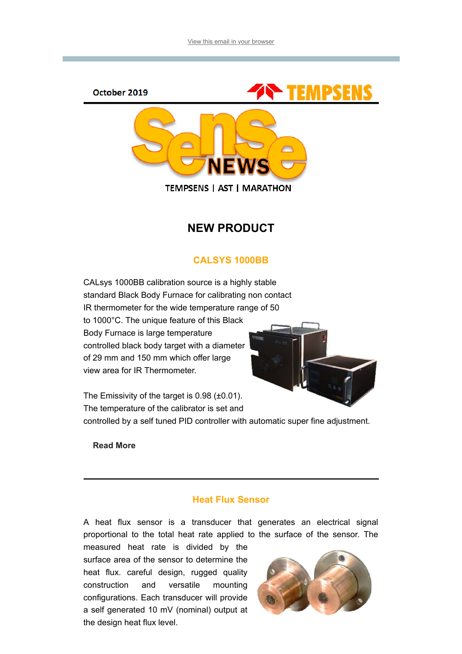



**TEMPSENS | AST | MARATHON** 

# NEW PRODUCT

# CALSYS 1000BB

CALsys 1000BB calibration source is a highly stable standard Black Body Furnace for calibrating non contact IR thermometer for the wide temperature range of 50 to 1000°C. The unique feature of this Black Body Furnace is large temperature controlled black body target with a diameter of 29 mm and 150 mm which offer large view area for IR Thermometer.



The Emissivity of the target is 0.98 (±0.01). The temperature of the calibrator is set and

controlled by a self tuned PID controller with automatic super fine adjustment.

[Read More](file:///C:/Users/promotion80/Downloads/Sense%20News%20October%202019.html)

## Heat Flux Sensor

A heat flux sensor is a transducer that generates an electrical signal proportional to the total heat rate applied to the surface of the sensor. The

measured heat rate is divided by the surface area of the sensor to determine the heat flux. careful design, rugged quality construction and versatile mounting configurations. Each transducer will provide a self generated 10 mV (nominal) output at the design heat flux level.

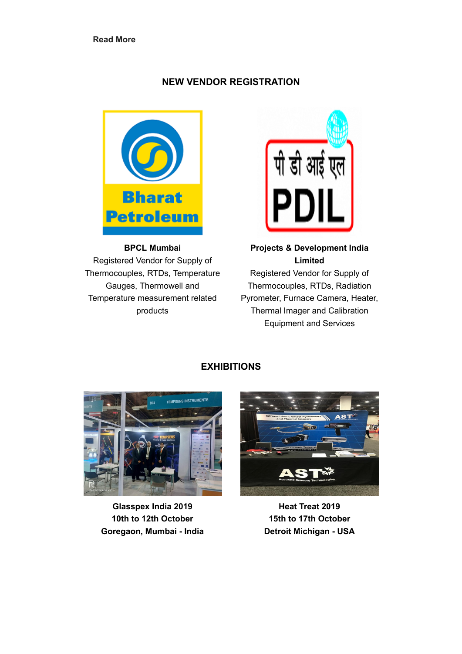### NEW VENDOR REGISTRATION



BPCL Mumbai Registered Vendor for Supply of Thermocouples, RTDs, Temperature Gauges, Thermowell and Temperature measurement related products



## Projects & Development India Limited

Registered Vendor for Supply of Thermocouples, RTDs, Radiation Pyrometer, Furnace Camera, Heater, Thermal Imager and Calibration Equipment and Services

## EXHIBITIONS



Glasspex India 2019 10th to 12th October Goregaon, Mumbai - India



Heat Treat 2019 15th to 17th October Detroit Michigan - USA